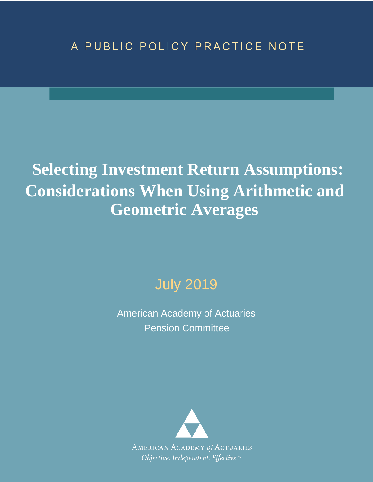## A PUBLIC POLICY PRACTICE NOTE

# **Selecting Investment Return Assumptions: Considerations When Using Arithmetic and Geometric Averages**

## July 2019

American Academy of Actuaries Pension Committee

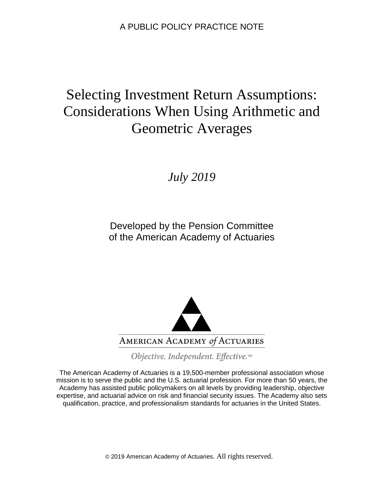## Selecting Investment Return Assumptions: Considerations When Using Arithmetic and Geometric Averages

*July 2019*

Developed by the Pension Committee of the American Academy of Actuaries



Objective. Independent. Effective.™

The American Academy of Actuaries is a 19,500-member professional association whose mission is to serve the public and the U.S. actuarial profession. For more than 50 years, the Academy has assisted public policymakers on all levels by providing leadership, objective expertise, and actuarial advice on risk and financial security issues. The Academy also sets qualification, practice, and professionalism standards for actuaries in the United States.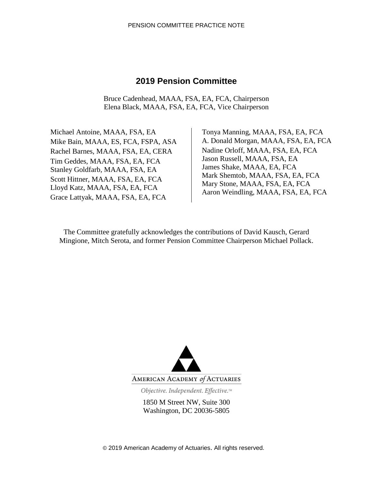#### **2019 Pension Committee**

Bruce Cadenhead, MAAA, FSA, EA, FCA, Chairperson Elena Black, MAAA, FSA, EA, FCA, Vice Chairperson

Michael Antoine, MAAA, FSA, EA Mike Bain, MAAA, ES, FCA, FSPA, ASA Rachel Barnes, MAAA, FSA, EA, CERA Tim Geddes, MAAA, FSA, EA, FCA Stanley Goldfarb, MAAA, FSA, EA Scott Hittner, MAAA, FSA, EA, FCA Lloyd Katz, MAAA, FSA, EA, FCA Grace Lattyak, MAAA, FSA, EA, FCA

 Tonya Manning, MAAA, FSA, EA, FCA A. Donald Morgan, MAAA, FSA, EA, FCA Nadine Orloff, MAAA, FSA, EA, FCA Jason Russell, MAAA, FSA, EA James Shake, MAAA, EA, FCA Mark Shemtob, MAAA, FSA, EA, FCA Mary Stone, MAAA, FSA, EA, FCA Aaron Weindling, MAAA, FSA, EA, FCA

The Committee gratefully acknowledges the contributions of David Kausch, Gerard Mingione, Mitch Serota, and former Pension Committee Chairperson Michael Pollack.



Objective. Independent. Effective.™

1850 M Street NW, Suite 300 Washington, DC 20036-5805

© 2019 American Academy of Actuaries. All rights reserved.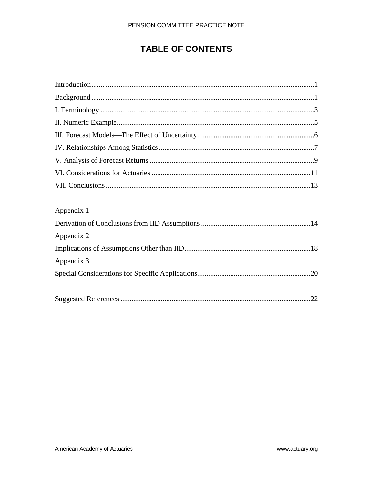#### PENSION COMMITTEE PRACTICE NOTE

## **TABLE OF CONTENTS**

| Appendix 1 |
|------------|
|            |
| Appendix 2 |
|            |
| Appendix 3 |
|            |
|            |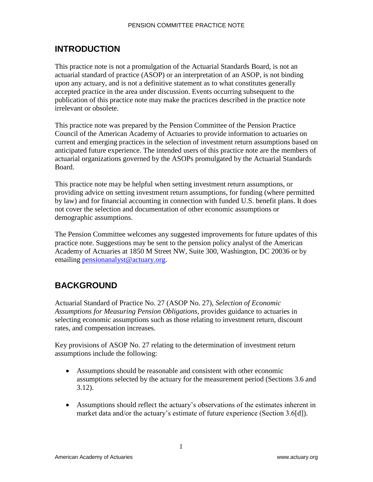## **INTRODUCTION**

This practice note is not a promulgation of the Actuarial Standards Board, is not an actuarial standard of practice (ASOP) or an interpretation of an ASOP, is not binding upon any actuary, and is not a definitive statement as to what constitutes generally accepted practice in the area under discussion. Events occurring subsequent to the publication of this practice note may make the practices described in the practice note irrelevant or obsolete.

This practice note was prepared by the Pension Committee of the Pension Practice Council of the American Academy of Actuaries to provide information to actuaries on current and emerging practices in the selection of investment return assumptions based on anticipated future experience. The intended users of this practice note are the members of actuarial organizations governed by the ASOPs promulgated by the Actuarial Standards Board.

This practice note may be helpful when setting investment return assumptions, or providing advice on setting investment return assumptions, for funding (where permitted by law) and for financial accounting in connection with funded U.S. benefit plans. It does not cover the selection and documentation of other economic assumptions or demographic assumptions.

The Pension Committee welcomes any suggested improvements for future updates of this practice note. Suggestions may be sent to the pension policy analyst of the American Academy of Actuaries at 1850 M Street NW, Suite 300, Washington, DC 20036 or by emailing [pensionanalyst@actuary.org.](mailto:pensionanalyst@actuary.org)

## **BACKGROUND**

Actuarial Standard of Practice No. 27 (ASOP No. 27), *Selection of Economic Assumptions for Measuring Pension Obligations*, provides guidance to actuaries in selecting economic assumptions such as those relating to investment return, discount rates, and compensation increases.

Key provisions of ASOP No. 27 relating to the determination of investment return assumptions include the following:

- Assumptions should be reasonable and consistent with other economic assumptions selected by the actuary for the measurement period (Sections 3.6 and 3.12).
- Assumptions should reflect the actuary's observations of the estimates inherent in market data and/or the actuary's estimate of future experience (Section 3.6[d]).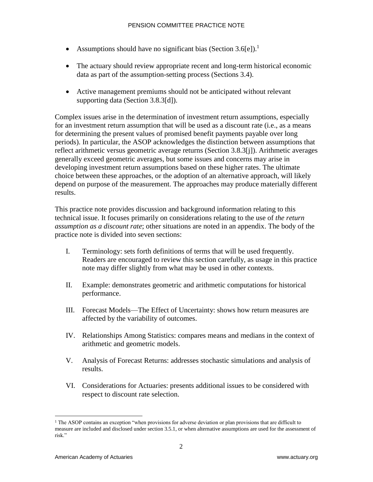- Assumptions should have no significant bias (Section  $3.6\text{[e]}$ ).<sup>1</sup>
- The actuary should review appropriate recent and long-term historical economic data as part of the assumption-setting process (Sections 3.4).
- Active management premiums should not be anticipated without relevant supporting data (Section 3.8.3[d]).

Complex issues arise in the determination of investment return assumptions, especially for an investment return assumption that will be used as a discount rate (i.e., as a means for determining the present values of promised benefit payments payable over long periods). In particular, the ASOP acknowledges the distinction between assumptions that reflect arithmetic versus geometric average returns (Section 3.8.3[j]). Arithmetic averages generally exceed geometric averages, but some issues and concerns may arise in developing investment return assumptions based on these higher rates. The ultimate choice between these approaches, or the adoption of an alternative approach, will likely depend on purpose of the measurement. The approaches may produce materially different results.

This practice note provides discussion and background information relating to this technical issue. It focuses primarily on considerations relating to the use of *the return assumption as a discount rate*; other situations are noted in an appendix. The body of the practice note is divided into seven sections:

- I. Terminology: sets forth definitions of terms that will be used frequently. Readers are encouraged to review this section carefully, as usage in this practice note may differ slightly from what may be used in other contexts.
- II. Example: demonstrates geometric and arithmetic computations for historical performance.
- III. Forecast Models—The Effect of Uncertainty: shows how return measures are affected by the variability of outcomes.
- IV. Relationships Among Statistics: compares means and medians in the context of arithmetic and geometric models.
- V. Analysis of Forecast Returns: addresses stochastic simulations and analysis of results.
- VI. Considerations for Actuaries: presents additional issues to be considered with respect to discount rate selection.

<sup>&</sup>lt;sup>1</sup> The ASOP contains an exception "when provisions for adverse deviation or plan provisions that are difficult to measure are included and disclosed under section 3.5.1, or when alternative assumptions are used for the assessment of risk."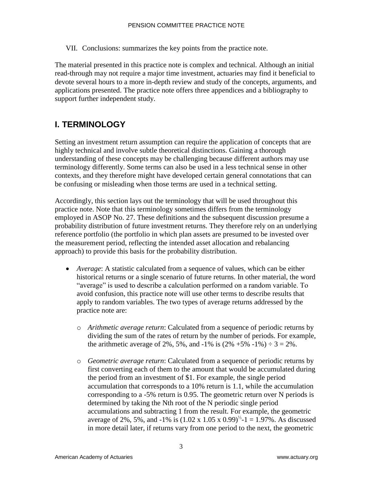VII. Conclusions: summarizes the key points from the practice note.

The material presented in this practice note is complex and technical. Although an initial read-through may not require a major time investment, actuaries may find it beneficial to devote several hours to a more in-depth review and study of the concepts, arguments, and applications presented. The practice note offers three appendices and a bibliography to support further independent study.

## **I. TERMINOLOGY**

Setting an investment return assumption can require the application of concepts that are highly technical and involve subtle theoretical distinctions. Gaining a thorough understanding of these concepts may be challenging because different authors may use terminology differently. Some terms can also be used in a less technical sense in other contexts, and they therefore might have developed certain general connotations that can be confusing or misleading when those terms are used in a technical setting.

Accordingly, this section lays out the terminology that will be used throughout this practice note. Note that this terminology sometimes differs from the terminology employed in ASOP No. 27. These definitions and the subsequent discussion presume a probability distribution of future investment returns. They therefore rely on an underlying reference portfolio (the portfolio in which plan assets are presumed to be invested over the measurement period, reflecting the intended asset allocation and rebalancing approach) to provide this basis for the probability distribution.

- *Average*: A statistic calculated from a sequence of values, which can be either historical returns or a single scenario of future returns. In other material, the word "average" is used to describe a calculation performed on a random variable. To avoid confusion, this practice note will use other terms to describe results that apply to random variables. The two types of average returns addressed by the practice note are:
	- o *Arithmetic average return*: Calculated from a sequence of periodic returns by dividing the sum of the rates of return by the number of periods. For example, the arithmetic average of 2%, 5%, and -1% is  $(2\% +5\% -1\%) \div 3 = 2\%$ .
	- o *Geometric average return*: Calculated from a sequence of periodic returns by first converting each of them to the amount that would be accumulated during the period from an investment of \$1. For example, the single period accumulation that corresponds to a 10% return is 1.1, while the accumulation corresponding to a -5% return is 0.95. The geometric return over N periods is determined by taking the Nth root of the N periodic single period accumulations and subtracting 1 from the result. For example, the geometric average of 2%, 5%, and -1% is  $(1.02 \times 1.05 \times 0.99)^{1/3}$ -1 = 1.97%. As discussed in more detail later, if returns vary from one period to the next, the geometric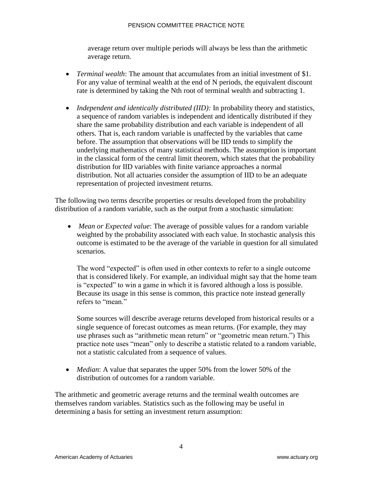#### PENSION COMMITTEE PRACTICE NOTE

average return over multiple periods will always be less than the arithmetic average return.

- *Terminal wealth*: The amount that accumulates from an initial investment of \$1. For any value of terminal wealth at the end of N periods, the equivalent discount rate is determined by taking the Nth root of terminal wealth and subtracting 1.
- *Independent and identically distributed (IID):* In probability theory and statistics, a sequence of random variables is independent and identically distributed if they share the same probability distribution and each variable is independent of all others. That is, each random variable is unaffected by the variables that came before. The assumption that observations will be IID tends to simplify the underlying mathematics of many statistical methods. The assumption is important in the classical form of the central limit theorem, which states that the probability distribution for IID variables with finite variance approaches a normal distribution. Not all actuaries consider the assumption of IID to be an adequate representation of projected investment returns.

The following two terms describe properties or results developed from the probability distribution of a random variable, such as the output from a stochastic simulation:

• *Mean or Expected value*: The average of possible values for a random variable weighted by the probability associated with each value. In stochastic analysis this outcome is estimated to be the average of the variable in question for all simulated scenarios.

The word "expected" is often used in other contexts to refer to a single outcome that is considered likely. For example, an individual might say that the home team is "expected" to win a game in which it is favored although a loss is possible. Because its usage in this sense is common, this practice note instead generally refers to "mean."

Some sources will describe average returns developed from historical results or a single sequence of forecast outcomes as mean returns. (For example, they may use phrases such as "arithmetic mean return" or "geometric mean return.") This practice note uses "mean" only to describe a statistic related to a random variable, not a statistic calculated from a sequence of values.

• *Median*: A value that separates the upper 50% from the lower 50% of the distribution of outcomes for a random variable.

The arithmetic and geometric average returns and the terminal wealth outcomes are themselves random variables. Statistics such as the following may be useful in determining a basis for setting an investment return assumption: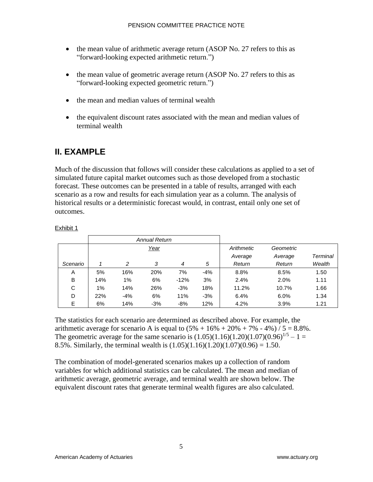- the mean value of arithmetic average return (ASOP No. 27 refers to this as "forward-looking expected arithmetic return.")
- the mean value of geometric average return (ASOP No. 27 refers to this as "forward-looking expected geometric return.")
- the mean and median values of terminal wealth
- the equivalent discount rates associated with the mean and median values of terminal wealth

### <span id="page-8-0"></span>**II. EXAMPLE**

Much of the discussion that follows will consider these calculations as applied to a set of simulated future capital market outcomes such as those developed from a stochastic forecast. These outcomes can be presented in a table of results, arranged with each scenario as a row and results for each simulation year as a column. The analysis of historical results or a deterministic forecast would, in contrast, entail only one set of outcomes.

#### Exhibit 1

|          |     |       | <b>Annual Return</b> |        |       |            |           |          |
|----------|-----|-------|----------------------|--------|-------|------------|-----------|----------|
|          |     |       | Year                 |        |       | Arithmetic | Geometric |          |
|          |     |       |                      |        |       | Average    | Average   | Terminal |
| Scenario |     | 2     | 3                    | 4      | 5     | Return     | Return    | Wealth   |
| A        | 5%  | 16%   | 20%                  | 7%     | $-4%$ | 8.8%       | 8.5%      | 1.50     |
| B        | 14% | 1%    | 6%                   | $-12%$ | 3%    | 2.4%       | 2.0%      | 1.11     |
| C        | 1%  | 14%   | 26%                  | $-3%$  | 18%   | 11.2%      | 10.7%     | 1.66     |
| D        | 22% | $-4%$ | 6%                   | 11%    | $-3%$ | 6.4%       | 6.0%      | 1.34     |
| E        | 6%  | 14%   | $-3%$                | $-8%$  | 12%   | 4.2%       | 3.9%      | 1.21     |

The statistics for each scenario are determined as described above. For example, the arithmetic average for scenario A is equal to  $(5% + 16% + 20% + 7% - 4%) / 5 = 8.8%$ . The geometric average for the same scenario is  $(1.05)(1.16)(1.20)(1.07)(0.96)^{1/5} - 1 =$ 8.5%. Similarly, the terminal wealth is  $(1.05)(1.16)(1.20)(1.07)(0.96) = 1.50$ .

The combination of model-generated scenarios makes up a collection of random variables for which additional statistics can be calculated. The mean and median of arithmetic average, geometric average, and terminal wealth are shown below. The equivalent discount rates that generate terminal wealth figures are also calculated.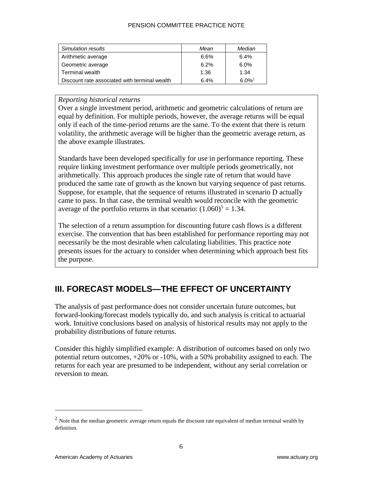#### PENSION COMMITTEE PRACTICE NOTE

| Simulation results                            | Mean | Median               |
|-----------------------------------------------|------|----------------------|
| Arithmetic average                            | 6.6% | 6.4%                 |
| Geometric average                             | 6.2% | 6.0%                 |
| Terminal wealth                               | 1.36 | 1.34                 |
| Discount rate associated with terminal wealth | 6.4% | $6.0\%$ <sup>2</sup> |

#### *Reporting historical returns*

Over a single investment period, arithmetic and geometric calculations of return are equal by definition. For multiple periods, however, the average returns will be equal only if each of the time-period returns are the same. To the extent that there is return volatility, the arithmetic average will be higher than the geometric average return, as the above example illustrates.

Standards have been developed specifically for use in performance reporting. These require linking investment performance over multiple periods geometrically, not arithmetically. This approach produces the single rate of return that would have produced the same rate of growth as the known but varying sequence of past returns. Suppose, for example, that the sequence of returns illustrated in scenario D actually came to pass. In that case, the terminal wealth would reconcile with the geometric average of the portfolio returns in that scenario:  $(1.060)^5 = 1.34$ .

The selection of a return assumption for discounting future cash flows is a different exercise. The convention that has been established for performance reporting may not necessarily be the most desirable when calculating liabilities. This practice note presents issues for the actuary to consider when determining which approach best fits the purpose.

## **III. FORECAST MODELS—THE EFFECT OF UNCERTAINTY**

The analysis of past performance does not consider uncertain future outcomes, but forward-looking/forecast models typically do, and such analysis is critical to actuarial work. Intuitive conclusions based on analysis of historical results may not apply to the probability distributions of future returns.

Consider this highly simplified example: A distribution of outcomes based on only two potential return outcomes, +20% or -10%, with a 50% probability assigned to each. The returns for each year are presumed to be independent, without any serial correlation or reversion to mean.

 $<sup>2</sup>$  Note that the median geometric average return equals the discount rate equivalent of median terminal wealth by</sup> definition.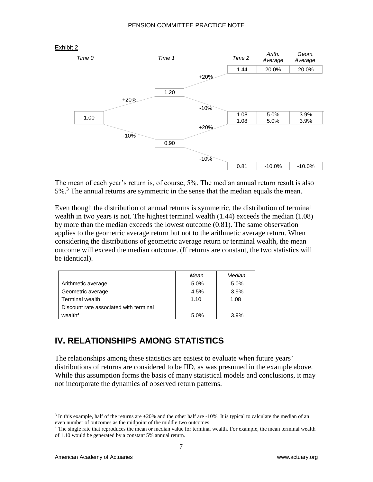

The mean of each year's return is, of course, 5%. The median annual return result is also  $5\%$ .<sup>3</sup> The annual returns are symmetric in the sense that the median equals the mean.

Even though the distribution of annual returns is symmetric, the distribution of terminal wealth in two years is not. The highest terminal wealth (1.44) exceeds the median (1.08) by more than the median exceeds the lowest outcome (0.81). The same observation applies to the geometric average return but not to the arithmetic average return. When considering the distributions of geometric average return or terminal wealth, the mean outcome will exceed the median outcome. (If returns are constant, the two statistics will be identical).

|                                        | Mean | Median |
|----------------------------------------|------|--------|
| Arithmetic average                     | 5.0% | 5.0%   |
| Geometric average                      | 4.5% | 3.9%   |
| Terminal wealth                        | 1.10 | 1.08   |
| Discount rate associated with terminal |      |        |
| wealth $4$                             | 5.0% | 3.9%   |

## **IV. RELATIONSHIPS AMONG STATISTICS**

The relationships among these statistics are easiest to evaluate when future years' distributions of returns are considered to be IID, as was presumed in the example above. While this assumption forms the basis of many statistical models and conclusions, it may not incorporate the dynamics of observed return patterns.

 $\overline{a}$  $3$  In this example, half of the returns are  $+20\%$  and the other half are  $-10\%$ . It is typical to calculate the median of an even number of outcomes as the midpoint of the middle two outcomes.

<sup>&</sup>lt;sup>4</sup> The single rate that reproduces the mean or median value for terminal wealth. For example, the mean terminal wealth of 1.10 would be generated by a constant 5% annual return.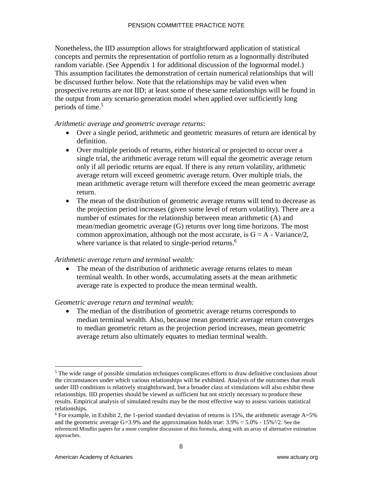#### PENSION COMMITTEE PRACTICE NOTE

Nonetheless, the IID assumption allows for straightforward application of statistical concepts and permits the representation of portfolio return as a lognormally distributed random variable. (See Appendix 1 for additional discussion of the lognormal model.) This assumption facilitates the demonstration of certain numerical relationships that will be discussed further below. Note that the relationships may be valid even when prospective returns are not IID; at least some of these same relationships will be found in the output from any scenario generation model when applied over sufficiently long periods of time.<sup>5</sup>

#### *Arithmetic average and geometric average returns*:

- Over a single period, arithmetic and geometric measures of return are identical by definition.
- Over multiple periods of returns, either historical or projected to occur over a single trial, the arithmetic average return will equal the geometric average return only if all periodic returns are equal. If there is any return volatility, arithmetic average return will exceed geometric average return. Over multiple trials, the mean arithmetic average return will therefore exceed the mean geometric average return.
- The mean of the distribution of geometric average returns will tend to decrease as the projection period increases (given some level of return volatility). There are a number of estimates for the relationship between mean arithmetic (A) and mean/median geometric average (G) returns over long time horizons. The most common approximation, although not the most accurate, is  $G \approx A$  - Variance/2, where variance is that related to single-period returns.<sup>6</sup>

#### *Arithmetic average return and terminal wealth:*

• The mean of the distribution of arithmetic average returns relates to mean terminal wealth. In other words, accumulating assets at the mean arithmetic average rate is expected to produce the mean terminal wealth.

#### *Geometric average return and terminal wealth:*

• The median of the distribution of geometric average returns corresponds to median terminal wealth. Also, because mean geometric average return converges to median geometric return as the projection period increases, mean geometric average return also ultimately equates to median terminal wealth.

 $<sup>5</sup>$  The wide range of possible simulation techniques complicates efforts to draw definitive conclusions about</sup> the circumstances under which various relationships will be exhibited. Analysis of the outcomes that result under IID conditions is relatively straightforward, but a broader class of simulations will also exhibit these relationships. IID properties should be viewed as sufficient but not strictly necessary to produce these results. Empirical analysis of simulated results may be the most effective way to assess various statistical relationships.

<sup>&</sup>lt;sup>6</sup> For example, in Exhibit 2, the 1-period standard deviation of returns is 15%, the arithmetic average  $A=5%$ and the geometric average G=3.9% and the approximation holds true:  $3.9\% \approx 5.0\%$  -  $15\%$   $\frac{2}{2}$ . See the referenced Mindlin papers for a more complete discussion of this formula, along with an array of alternative estimation approaches.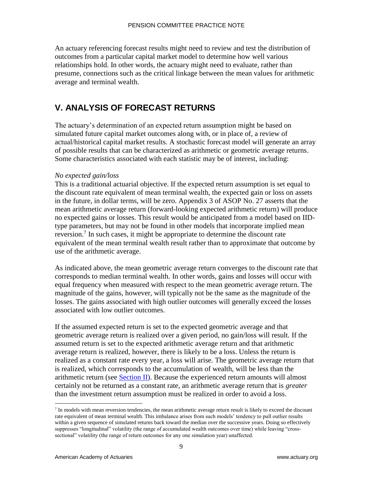An actuary referencing forecast results might need to review and test the distribution of outcomes from a particular capital market model to determine how well various relationships hold. In other words, the actuary might need to evaluate, rather than presume, connections such as the critical linkage between the mean values for arithmetic average and terminal wealth.

## **V. ANALYSIS OF FORECAST RETURNS**

The actuary's determination of an expected return assumption might be based on simulated future capital market outcomes along with, or in place of, a review of actual/historical capital market results. A stochastic forecast model will generate an array of possible results that can be characterized as arithmetic or geometric average returns. Some characteristics associated with each statistic may be of interest, including:

#### *No expected gain/loss*

This is a traditional actuarial objective. If the expected return assumption is set equal to the discount rate equivalent of mean terminal wealth, the expected gain or loss on assets in the future, in dollar terms, will be zero. Appendix 3 of ASOP No. 27 asserts that the mean arithmetic average return (forward-looking expected arithmetic return) will produce no expected gains or losses. This result would be anticipated from a model based on IIDtype parameters, but may not be found in other models that incorporate implied mean reversion.<sup>7</sup> In such cases, it might be appropriate to determine the discount rate equivalent of the mean terminal wealth result rather than to approximate that outcome by use of the arithmetic average.

As indicated above, the mean geometric average return converges to the discount rate that corresponds to median terminal wealth. In other words, gains and losses will occur with equal frequency when measured with respect to the mean geometric average return. The magnitude of the gains, however, will typically not be the same as the magnitude of the losses. The gains associated with high outlier outcomes will generally exceed the losses associated with low outlier outcomes.

If the assumed expected return is set to the expected geometric average and that geometric average return is realized over a given period, no gain/loss will result. If the assumed return is set to the expected arithmetic average return and that arithmetic average return is realized, however, there is likely to be a loss. Unless the return is realized as a constant rate every year, a loss will arise. The geometric average return that is realized, which corresponds to the accumulation of wealth, will be less than the arithmetic return (see [Section II\)](#page-8-0). Because the experienced return amounts will almost certainly not be returned as a constant rate, an arithmetic average return that is *greater*  than the investment return assumption must be realized in order to avoid a loss.

 $<sup>7</sup>$  In models with mean reversion tendencies, the mean arithmetic average return result is likely to exceed the discount</sup> rate equivalent of mean terminal wealth. This imbalance arises from such models' tendency to pull outlier results within a given sequence of simulated returns back toward the median over the successive years. Doing so effectively suppresses "longitudinal" volatility (the range of accumulated wealth outcomes over time) while leaving "crosssectional" volatility (the range of return outcomes for any one simulation year) unaffected.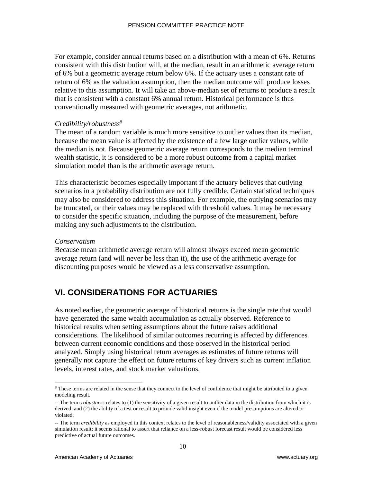For example, consider annual returns based on a distribution with a mean of 6%. Returns consistent with this distribution will, at the median, result in an arithmetic average return of 6% but a geometric average return below 6%. If the actuary uses a constant rate of return of 6% as the valuation assumption, then the median outcome will produce losses relative to this assumption. It will take an above-median set of returns to produce a result that is consistent with a constant 6% annual return. Historical performance is thus conventionally measured with geometric averages, not arithmetic.

#### *Credibility/robustness<sup>8</sup>*

The mean of a random variable is much more sensitive to outlier values than its median, because the mean value is affected by the existence of a few large outlier values, while the median is not. Because geometric average return corresponds to the median terminal wealth statistic, it is considered to be a more robust outcome from a capital market simulation model than is the arithmetic average return.

This characteristic becomes especially important if the actuary believes that outlying scenarios in a probability distribution are not fully credible. Certain statistical techniques may also be considered to address this situation. For example, the outlying scenarios may be truncated, or their values may be replaced with threshold values. It may be necessary to consider the specific situation, including the purpose of the measurement, before making any such adjustments to the distribution.

#### *Conservatism*

 $\overline{a}$ 

Because mean arithmetic average return will almost always exceed mean geometric average return (and will never be less than it), the use of the arithmetic average for discounting purposes would be viewed as a less conservative assumption.

## **VI. CONSIDERATIONS FOR ACTUARIES**

As noted earlier, the geometric average of historical returns is the single rate that would have generated the same wealth accumulation as actually observed. Reference to historical results when setting assumptions about the future raises additional considerations. The likelihood of similar outcomes recurring is affected by differences between current economic conditions and those observed in the historical period analyzed. Simply using historical return averages as estimates of future returns will generally not capture the effect on future returns of key drivers such as current inflation levels, interest rates, and stock market valuations.

<sup>8</sup> These terms are related in the sense that they connect to the level of confidence that might be attributed to a given modeling result.

<sup>--</sup> The term *robustness* relates to (1) the sensitivity of a given result to outlier data in the distribution from which it is derived, and (2) the ability of a test or result to provide valid insight even if the model presumptions are altered or violated.

<sup>--</sup> The term *credibility* as employed in this context relates to the level of reasonableness/validity associated with a given simulation result; it seems rational to assert that reliance on a less-robust forecast result would be considered less predictive of actual future outcomes.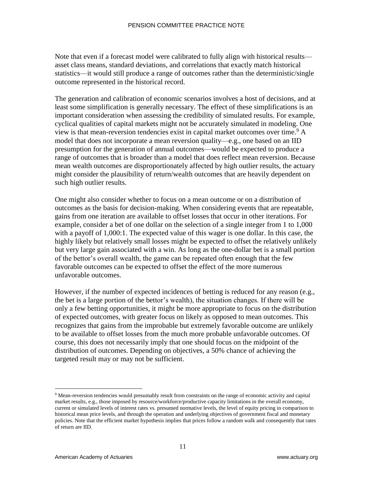Note that even if a forecast model were calibrated to fully align with historical results asset class means, standard deviations, and correlations that exactly match historical statistics—it would still produce a range of outcomes rather than the deterministic/single outcome represented in the historical record.

The generation and calibration of economic scenarios involves a host of decisions, and at least some simplification is generally necessary. The effect of these simplifications is an important consideration when assessing the credibility of simulated results. For example, cyclical qualities of capital markets might not be accurately simulated in modeling. One view is that mean-reversion tendencies exist in capital market outcomes over time.<sup>9</sup> A model that does not incorporate a mean reversion quality—e.g., one based on an IID presumption for the generation of annual outcomes—would be expected to produce a range of outcomes that is broader than a model that does reflect mean reversion. Because mean wealth outcomes are disproportionately affected by high outlier results, the actuary might consider the plausibility of return/wealth outcomes that are heavily dependent on such high outlier results.

One might also consider whether to focus on a mean outcome or on a distribution of outcomes as the basis for decision-making. When considering events that are repeatable, gains from one iteration are available to offset losses that occur in other iterations. For example, consider a bet of one dollar on the selection of a single integer from 1 to 1,000 with a payoff of 1,000:1. The expected value of this wager is one dollar. In this case, the highly likely but relatively small losses might be expected to offset the relatively unlikely but very large gain associated with a win. As long as the one-dollar bet is a small portion of the bettor's overall wealth, the game can be repeated often enough that the few favorable outcomes can be expected to offset the effect of the more numerous unfavorable outcomes.

However, if the number of expected incidences of betting is reduced for any reason (e.g., the bet is a large portion of the bettor's wealth), the situation changes. If there will be only a few betting opportunities, it might be more appropriate to focus on the distribution of expected outcomes, with greater focus on likely as opposed to mean outcomes. This recognizes that gains from the improbable but extremely favorable outcome are unlikely to be available to offset losses from the much more probable unfavorable outcomes. Of course, this does not necessarily imply that one should focus on the midpoint of the distribution of outcomes. Depending on objectives, a 50% chance of achieving the targeted result may or may not be sufficient.

<sup>9</sup> Mean-reversion tendencies would presumably result from constraints on the range of economic activity and capital market results, e.g., those imposed by resource/workforce/productive capacity limitations in the overall economy, current or simulated levels of interest rates vs. presumed normative levels, the level of equity pricing in comparison to historical mean price levels, and through the operation and underlying objectives of government fiscal and monetary policies. Note that the efficient market hypothesis implies that prices follow a random walk and consequently that rates of return are IID.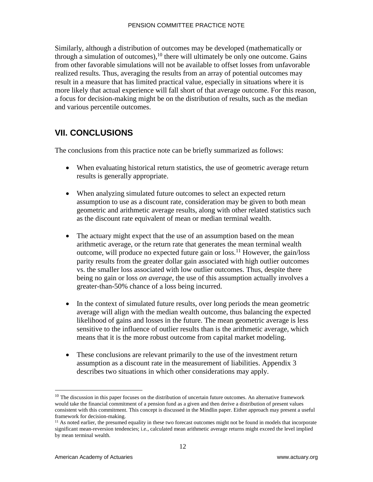Similarly, although a distribution of outcomes may be developed (mathematically or through a simulation of outcomes),  $^{10}$  there will ultimately be only one outcome. Gains from other favorable simulations will not be available to offset losses from unfavorable realized results. Thus, averaging the results from an array of potential outcomes may result in a measure that has limited practical value, especially in situations where it is more likely that actual experience will fall short of that average outcome. For this reason, a focus for decision-making might be on the distribution of results, such as the median and various percentile outcomes.

## **VII. CONCLUSIONS**

The conclusions from this practice note can be briefly summarized as follows:

- When evaluating historical return statistics, the use of geometric average return results is generally appropriate.
- When analyzing simulated future outcomes to select an expected return assumption to use as a discount rate, consideration may be given to both mean geometric and arithmetic average results, along with other related statistics such as the discount rate equivalent of mean or median terminal wealth.
- The actuary might expect that the use of an assumption based on the mean arithmetic average, or the return rate that generates the mean terminal wealth outcome, will produce no expected future gain or loss.<sup>11</sup> However, the gain/loss parity results from the greater dollar gain associated with high outlier outcomes vs. the smaller loss associated with low outlier outcomes. Thus, despite there being no gain or loss *on average,* the use of this assumption actually involves a greater-than-50% chance of a loss being incurred.
- In the context of simulated future results, over long periods the mean geometric average will align with the median wealth outcome, thus balancing the expected likelihood of gains and losses in the future. The mean geometric average is less sensitive to the influence of outlier results than is the arithmetic average, which means that it is the more robust outcome from capital market modeling.
- These conclusions are relevant primarily to the use of the investment return assumption as a discount rate in the measurement of liabilities. Appendix 3 describes two situations in which other considerations may apply.

 $10$  The discussion in this paper focuses on the distribution of uncertain future outcomes. An alternative framework would take the financial commitment of a pension fund as a given and then derive a distribution of present values consistent with this commitment. This concept is discussed in the Mindlin paper. Either approach may present a useful framework for decision-making.

 $<sup>11</sup>$  As noted earlier, the presumed equality in these two forecast outcomes might not be found in models that incorporate</sup> significant mean-reversion tendencies; i.e., calculated mean arithmetic average returns might exceed the level implied by mean terminal wealth.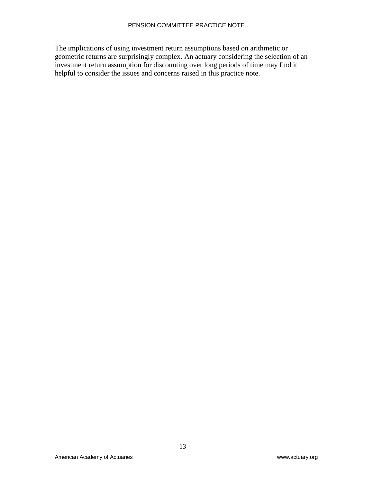The implications of using investment return assumptions based on arithmetic or geometric returns are surprisingly complex. An actuary considering the selection of an investment return assumption for discounting over long periods of time may find it helpful to consider the issues and concerns raised in this practice note.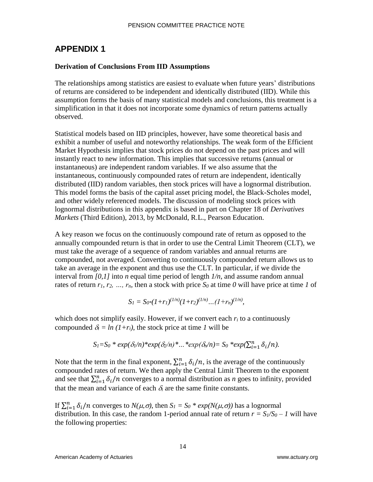## **APPENDIX 1**

#### **Derivation of Conclusions From IID Assumptions**

The relationships among statistics are easiest to evaluate when future years' distributions of returns are considered to be independent and identically distributed (IID). While this assumption forms the basis of many statistical models and conclusions, this treatment is a simplification in that it does not incorporate some dynamics of return patterns actually observed.

Statistical models based on IID principles, however, have some theoretical basis and exhibit a number of useful and noteworthy relationships. The weak form of the Efficient Market Hypothesis implies that stock prices do not depend on the past prices and will instantly react to new information. This implies that successive returns (annual or instantaneous) are independent random variables. If we also assume that the instantaneous, continuously compounded rates of return are independent, identically distributed (IID) random variables, then stock prices will have a lognormal distribution. This model forms the basis of the capital asset pricing model, the Black-Scholes model, and other widely referenced models. The discussion of modeling stock prices with lognormal distributions in this appendix is based in part on Chapter 18 of *Derivatives Markets* (Third Edition), 2013, by McDonald, R.L., Pearson Education.

A key reason we focus on the continuously compound rate of return as opposed to the annually compounded return is that in order to use the Central Limit Theorem (CLT), we must take the average of a sequence of random variables and annual returns are compounded, not averaged. Converting to continuously compounded return allows us to take an average in the exponent and thus use the CLT. In particular, if we divide the interval from *[0,1]* into *n* equal time period of length *1/n*, and assume random annual rates of return  $r_1, r_2, ..., r_n$ , then a stock with price  $S_0$  at time 0 will have price at time 1 of

$$
S_1 = S_{0*}(1+r_1)^{(1/n)}(1+r_2)^{(1/n)}...(1+r_n)^{(1/n)},
$$

which does not simplify easily. However, if we convert each  $r_i$  to a continuously compounded  $\delta_i = ln (1+r_i)$ , the stock price at time *1* will be

$$
S_I = S_0 * exp(\delta_I/n) * exp(\delta_2/n) * ... * exp(\delta_n/n) = S_0 * exp(\sum_{i=1}^n \delta_i/n).
$$

Note that the term in the final exponent,  $\sum_{i=1}^{n} \delta_i/n$ , is the average of the continuously compounded rates of return. We then apply the Central Limit Theorem to the exponent and see that  $\sum_{i=1}^{n} \delta_i / n$  converges to a normal distribution as *n* goes to infinity, provided that the mean and variance of each  $\delta_i$  are the same finite constants.

If  $\sum_{i=1}^{n} \delta_i / n$  converges to  $N(\mu, \sigma)$ , then  $S_I = S_0 * exp(N(\mu, \sigma))$  has a lognormal distribution. In this case, the random 1-period annual rate of return  $r = S_1/S_0 - I$  will have the following properties: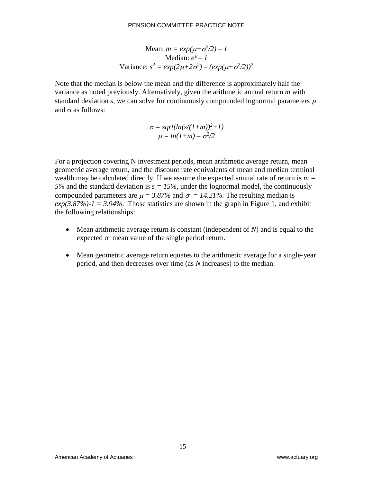Mean: 
$$
m = exp(\mu + \sigma^2/2) - 1
$$
  
\nMedian:  $e^{\mu} - 1$   
\nVariance:  $s^2 = exp(2\mu + 2\sigma^2) - (exp(\mu + \sigma^2/2))^2$ 

Note that the median is below the mean and the difference is approximately half the variance as noted previously. Alternatively, given the arithmetic annual return *m* with standard deviation *s*, we can solve for continuously compounded lognormal parameters  $\mu$ and  $\sigma$  as follows:

$$
\sigma = sqrt(ln(s/(1+m))^2 + 1)
$$
  

$$
\mu = ln(1+m) - \sigma^2/2
$$

For a projection covering N investment periods, mean arithmetic average return, mean geometric average return, and the discount rate equivalents of mean and median terminal wealth may be calculated directly. If we assume the expected annual rate of return is  $m =$ *5%* and the standard deviation is  $s = 15%$ , under the lognormal model, the continuously compounded parameters are  $\mu = 3.87\%$  and  $\sigma = 14.21\%$ . The resulting median is  $exp(3.87\%) -1 = 3.94\%$ . Those statistics are shown in the graph in Figure 1, and exhibit the following relationships:

- Mean arithmetic average return is constant (independent of *N*) and is equal to the expected or mean value of the single period return.
- Mean geometric average return equates to the arithmetic average for a single-year period, and then decreases over time (as *N* increases) to the median.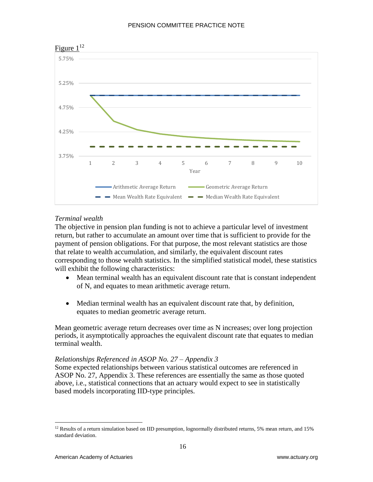

#### Figure  $1^{12}$

#### *Terminal wealth*

The objective in pension plan funding is not to achieve a particular level of investment return, but rather to accumulate an amount over time that is sufficient to provide for the payment of pension obligations. For that purpose, the most relevant statistics are those that relate to wealth accumulation, and similarly, the equivalent discount rates corresponding to those wealth statistics. In the simplified statistical model, these statistics will exhibit the following characteristics:

- Mean terminal wealth has an equivalent discount rate that is constant independent of N, and equates to mean arithmetic average return.
- Median terminal wealth has an equivalent discount rate that, by definition, equates to median geometric average return.

Mean geometric average return decreases over time as N increases; over long projection periods, it asymptotically approaches the equivalent discount rate that equates to median terminal wealth.

#### *Relationships Referenced in ASOP No. 27 – Appendix 3*

Some expected relationships between various statistical outcomes are referenced in ASOP No. 27, Appendix 3. These references are essentially the same as those quoted above, i.e., statistical connections that an actuary would expect to see in statistically based models incorporating IID-type principles.

<sup>&</sup>lt;sup>12</sup> Results of a return simulation based on IID presumption, lognormally distributed returns, 5% mean return, and 15% standard deviation.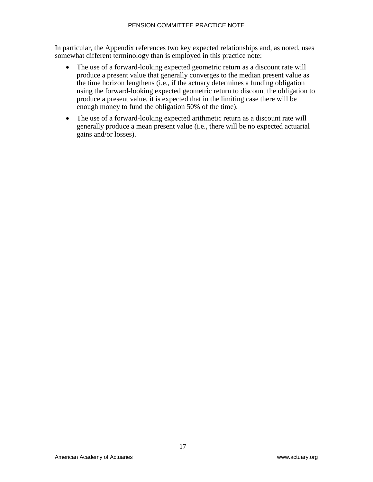In particular, the Appendix references two key expected relationships and, as noted, uses somewhat different terminology than is employed in this practice note:

- The use of a forward-looking expected geometric return as a discount rate will produce a present value that generally converges to the median present value as the time horizon lengthens (i.e., if the actuary determines a funding obligation using the forward-looking expected geometric return to discount the obligation to produce a present value, it is expected that in the limiting case there will be enough money to fund the obligation 50% of the time).
- The use of a forward-looking expected arithmetic return as a discount rate will generally produce a mean present value (i.e., there will be no expected actuarial gains and/or losses).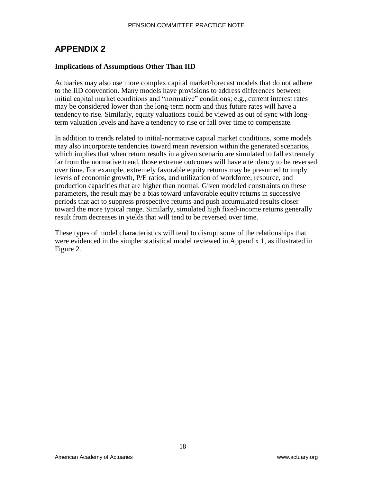### **APPENDIX 2**

#### **Implications of Assumptions Other Than IID**

Actuaries may also use more complex capital market/forecast models that do not adhere to the IID convention. Many models have provisions to address differences between initial capital market conditions and "normative" conditions; e.g., current interest rates may be considered lower than the long-term norm and thus future rates will have a tendency to rise. Similarly, equity valuations could be viewed as out of sync with longterm valuation levels and have a tendency to rise or fall over time to compensate.

In addition to trends related to initial-normative capital market conditions, some models may also incorporate tendencies toward mean reversion within the generated scenarios, which implies that when return results in a given scenario are simulated to fall extremely far from the normative trend, those extreme outcomes will have a tendency to be reversed over time. For example, extremely favorable equity returns may be presumed to imply levels of economic growth, P/E ratios, and utilization of workforce, resource, and production capacities that are higher than normal. Given modeled constraints on these parameters, the result may be a bias toward unfavorable equity returns in successive periods that act to suppress prospective returns and push accumulated results closer toward the more typical range. Similarly, simulated high fixed-income returns generally result from decreases in yields that will tend to be reversed over time.

These types of model characteristics will tend to disrupt some of the relationships that were evidenced in the simpler statistical model reviewed in Appendix 1, as illustrated in Figure 2.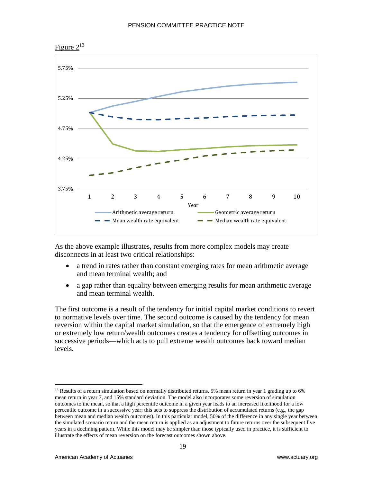

As the above example illustrates, results from more complex models may create disconnects in at least two critical relationships:

- a trend in rates rather than constant emerging rates for mean arithmetic average and mean terminal wealth; and
- a gap rather than equality between emerging results for mean arithmetic average and mean terminal wealth.

The first outcome is a result of the tendency for initial capital market conditions to revert to normative levels over time. The second outcome is caused by the tendency for mean reversion within the capital market simulation, so that the emergence of extremely high or extremely low return/wealth outcomes creates a tendency for offsetting outcomes in successive periods—which acts to pull extreme wealth outcomes back toward median levels.



<sup>&</sup>lt;sup>13</sup> Results of a return simulation based on normally distributed returns, 5% mean return in year 1 grading up to 6% mean return in year 7, and 15% standard deviation. The model also incorporates some reversion of simulation outcomes to the mean, so that a high percentile outcome in a given year leads to an increased likelihood for a low percentile outcome in a successive year; this acts to suppress the distribution of accumulated returns (e.g., the gap between mean and median wealth outcomes). In this particular model, 50% of the difference in any single year between the simulated scenario return and the mean return is applied as an adjustment to future returns over the subsequent five years in a declining pattern. While this model may be simpler than those typically used in practice, it is sufficient to illustrate the effects of mean reversion on the forecast outcomes shown above.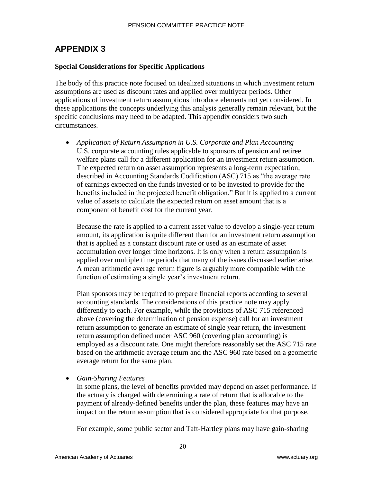## **APPENDIX 3**

#### **Special Considerations for Specific Applications**

The body of this practice note focused on idealized situations in which investment return assumptions are used as discount rates and applied over multiyear periods. Other applications of investment return assumptions introduce elements not yet considered. In these applications the concepts underlying this analysis generally remain relevant, but the specific conclusions may need to be adapted. This appendix considers two such circumstances.

• *Application of Return Assumption in U.S. Corporate and Plan Accounting* U.S. corporate accounting rules applicable to sponsors of pension and retiree welfare plans call for a different application for an investment return assumption. The expected return on asset assumption represents a long-term expectation, described in Accounting Standards Codification (ASC) 715 as "the average rate of earnings expected on the funds invested or to be invested to provide for the benefits included in the projected benefit obligation." But it is applied to a current value of assets to calculate the expected return on asset amount that is a component of benefit cost for the current year.

Because the rate is applied to a current asset value to develop a single-year return amount, its application is quite different than for an investment return assumption that is applied as a constant discount rate or used as an estimate of asset accumulation over longer time horizons. It is only when a return assumption is applied over multiple time periods that many of the issues discussed earlier arise. A mean arithmetic average return figure is arguably more compatible with the function of estimating a single year's investment return.

Plan sponsors may be required to prepare financial reports according to several accounting standards. The considerations of this practice note may apply differently to each. For example, while the provisions of ASC 715 referenced above (covering the determination of pension expense) call for an investment return assumption to generate an estimate of single year return, the investment return assumption defined under ASC 960 (covering plan accounting) is employed as a discount rate. One might therefore reasonably set the ASC 715 rate based on the arithmetic average return and the ASC 960 rate based on a geometric average return for the same plan.

• *Gain-Sharing Features*

In some plans, the level of benefits provided may depend on asset performance. If the actuary is charged with determining a rate of return that is allocable to the payment of already-defined benefits under the plan, these features may have an impact on the return assumption that is considered appropriate for that purpose.

For example, some public sector and Taft-Hartley plans may have gain-sharing

20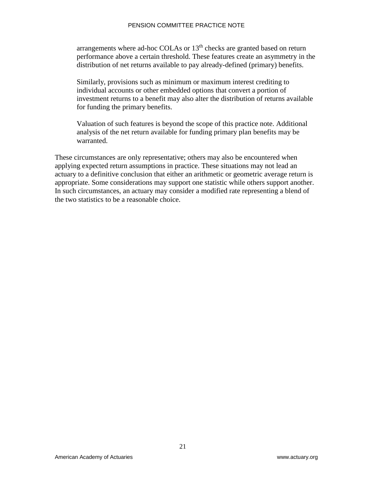arrangements where ad-hoc COLAs or  $13<sup>th</sup>$  checks are granted based on return performance above a certain threshold. These features create an asymmetry in the distribution of net returns available to pay already-defined (primary) benefits.

Similarly, provisions such as minimum or maximum interest crediting to individual accounts or other embedded options that convert a portion of investment returns to a benefit may also alter the distribution of returns available for funding the primary benefits.

Valuation of such features is beyond the scope of this practice note. Additional analysis of the net return available for funding primary plan benefits may be warranted.

These circumstances are only representative; others may also be encountered when applying expected return assumptions in practice. These situations may not lead an actuary to a definitive conclusion that either an arithmetic or geometric average return is appropriate. Some considerations may support one statistic while others support another. In such circumstances, an actuary may consider a modified rate representing a blend of the two statistics to be a reasonable choice.